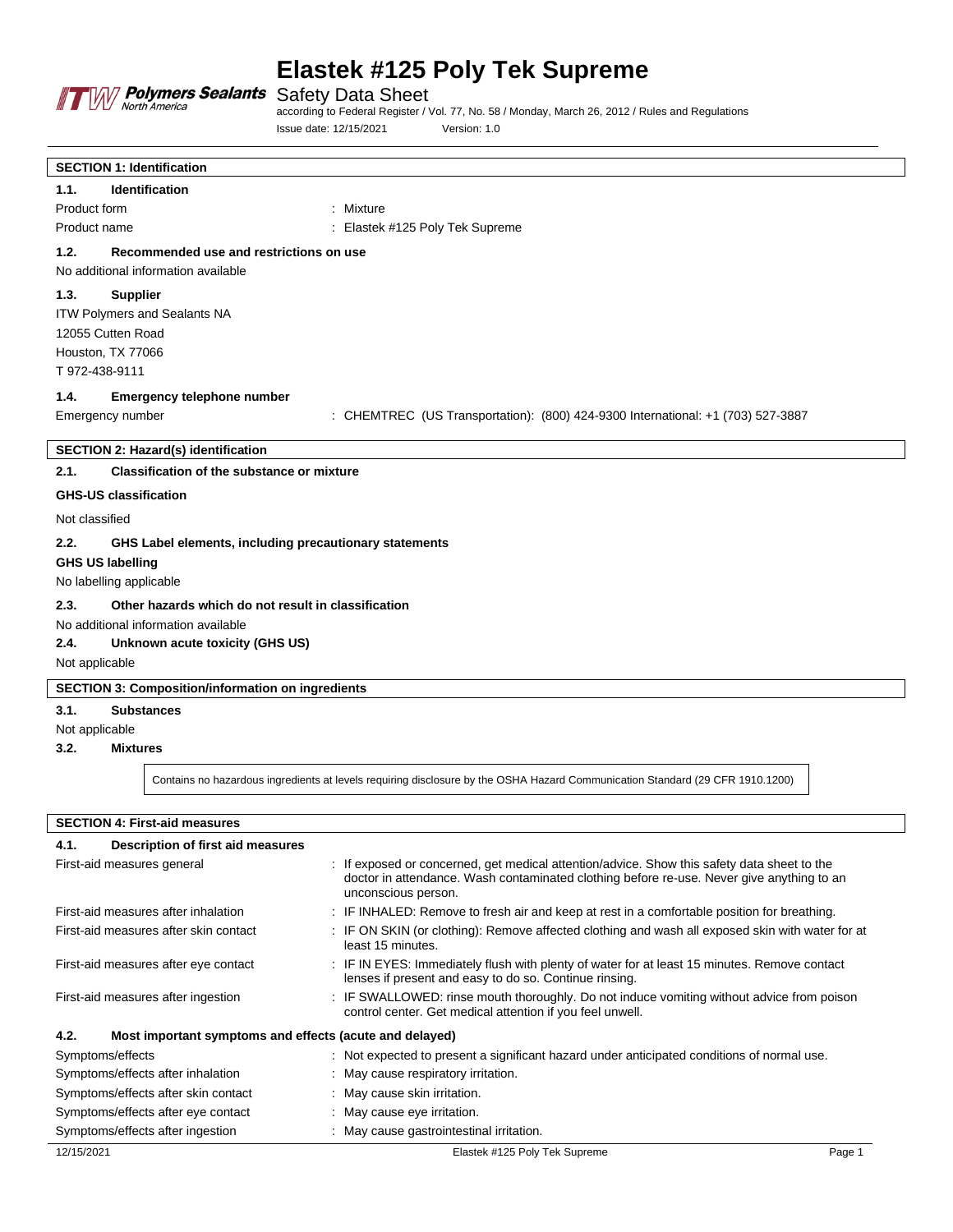

Safety Data Sheet

according to Federal Register / Vol. 77, No. 58 / Monday, March 26, 2012 / Rules and Regulations Issue date: 12/15/2021 Version: 1.0

| <b>SECTION 1: Identification</b>                                                                        |                                                                                 |
|---------------------------------------------------------------------------------------------------------|---------------------------------------------------------------------------------|
| <b>Identification</b><br>1.1.                                                                           |                                                                                 |
| Product form                                                                                            | : Mixture                                                                       |
| Product name                                                                                            | : Elastek #125 Poly Tek Supreme                                                 |
| 1.2.<br>Recommended use and restrictions on use                                                         |                                                                                 |
| No additional information available                                                                     |                                                                                 |
| 1.3.<br><b>Supplier</b>                                                                                 |                                                                                 |
| ITW Polymers and Sealants NA                                                                            |                                                                                 |
| 12055 Cutten Road                                                                                       |                                                                                 |
| Houston, TX 77066                                                                                       |                                                                                 |
| T 972-438-9111                                                                                          |                                                                                 |
| 1.4.<br>Emergency telephone number                                                                      |                                                                                 |
| Emergency number                                                                                        | : CHEMTREC (US Transportation): (800) 424-9300 International: +1 (703) 527-3887 |
|                                                                                                         |                                                                                 |
| <b>SECTION 2: Hazard(s) identification</b><br>2.1.<br><b>Classification of the substance or mixture</b> |                                                                                 |
|                                                                                                         |                                                                                 |
| <b>GHS-US classification</b>                                                                            |                                                                                 |
| Not classified                                                                                          |                                                                                 |
| 2.2.<br>GHS Label elements, including precautionary statements                                          |                                                                                 |
| <b>GHS US labelling</b>                                                                                 |                                                                                 |
| No labelling applicable                                                                                 |                                                                                 |
| 2.3.<br>Other hazards which do not result in classification                                             |                                                                                 |
| No additional information available                                                                     |                                                                                 |
| 2.4.<br>Unknown acute toxicity (GHS US)                                                                 |                                                                                 |
| Not applicable                                                                                          |                                                                                 |
| <b>SECTION 3: Composition/information on ingredients</b>                                                |                                                                                 |
| 3.1.<br><b>Substances</b>                                                                               |                                                                                 |
| Not applicable                                                                                          |                                                                                 |
| 3.2.<br><b>Mixtures</b>                                                                                 |                                                                                 |

Contains no hazardous ingredients at levels requiring disclosure by the OSHA Hazard Communication Standard (29 CFR 1910.1200)

**SECTION 4: First-aid measures**

| Description of first aid measures<br>4.1.                       |                                                                                                                                                                                                                 |  |
|-----------------------------------------------------------------|-----------------------------------------------------------------------------------------------------------------------------------------------------------------------------------------------------------------|--|
| First-aid measures general                                      | : If exposed or concerned, get medical attention/advice. Show this safety data sheet to the<br>doctor in attendance. Wash contaminated clothing before re-use. Never give anything to an<br>unconscious person. |  |
| First-aid measures after inhalation                             | : IF INHALED: Remove to fresh air and keep at rest in a comfortable position for breathing.                                                                                                                     |  |
| First-aid measures after skin contact                           | : IF ON SKIN (or clothing): Remove affected clothing and wash all exposed skin with water for at<br>least 15 minutes.                                                                                           |  |
| First-aid measures after eye contact                            | : IF IN EYES: Immediately flush with plenty of water for at least 15 minutes. Remove contact<br>lenses if present and easy to do so. Continue rinsing.                                                          |  |
| First-aid measures after ingestion                              | : IF SWALLOWED: rinse mouth thoroughly. Do not induce vomiting without advice from poison<br>control center. Get medical attention if you feel unwell.                                                          |  |
| 4.2.<br>Most important symptoms and effects (acute and delayed) |                                                                                                                                                                                                                 |  |
| Symptoms/effects                                                | : Not expected to present a significant hazard under anticipated conditions of normal use.                                                                                                                      |  |
| Symptoms/effects after inhalation                               | : May cause respiratory irritation.                                                                                                                                                                             |  |
| Symptoms/effects after skin contact                             | : May cause skin irritation.                                                                                                                                                                                    |  |
| Symptoms/effects after eye contact                              | : May cause eye irritation.                                                                                                                                                                                     |  |
| Symptoms/effects after ingestion                                | : May cause gastrointestinal irritation.                                                                                                                                                                        |  |
| 12/15/2021                                                      | Elastek #125 Poly Tek Supreme<br>Page 1                                                                                                                                                                         |  |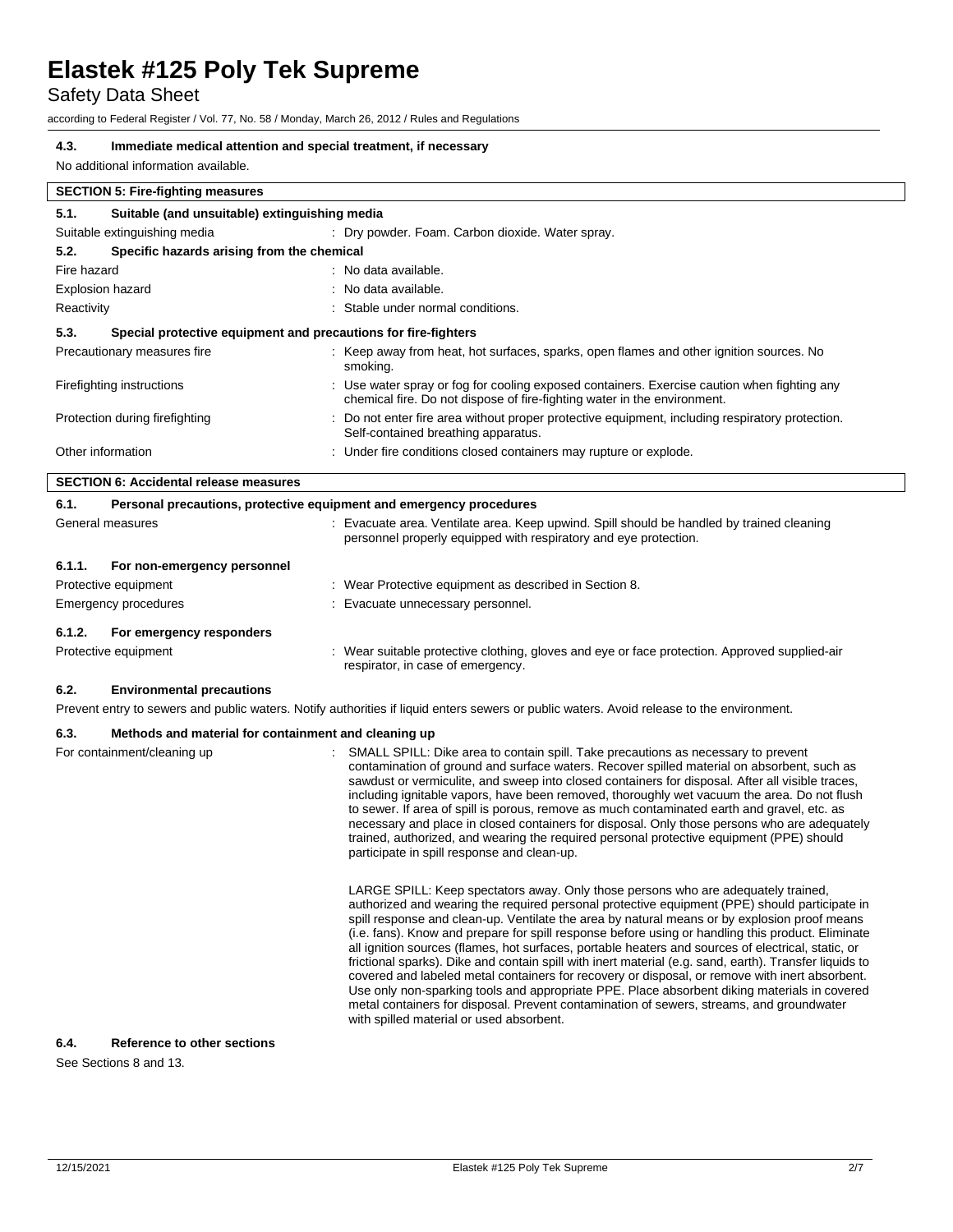Safety Data Sheet

according to Federal Register / Vol. 77, No. 58 / Monday, March 26, 2012 / Rules and Regulations

### **4.3. Immediate medical attention and special treatment, if necessary**

No additional information available.

| <b>SECTION 5: Fire-fighting measures</b>                               |                                               |                                                                                                                                                                         |  |
|------------------------------------------------------------------------|-----------------------------------------------|-------------------------------------------------------------------------------------------------------------------------------------------------------------------------|--|
| 5.1.                                                                   | Suitable (and unsuitable) extinguishing media |                                                                                                                                                                         |  |
| Suitable extinguishing media                                           |                                               | : Dry powder. Foam. Carbon dioxide. Water spray.                                                                                                                        |  |
| 5.2.                                                                   | Specific hazards arising from the chemical    |                                                                                                                                                                         |  |
| Fire hazard                                                            |                                               | : No data available.                                                                                                                                                    |  |
| <b>Explosion hazard</b>                                                |                                               | : No data available.                                                                                                                                                    |  |
| Reactivity                                                             |                                               | : Stable under normal conditions.                                                                                                                                       |  |
| 5.3.<br>Special protective equipment and precautions for fire-fighters |                                               |                                                                                                                                                                         |  |
| Precautionary measures fire                                            |                                               | : Keep away from heat, hot surfaces, sparks, open flames and other ignition sources. No<br>smoking.                                                                     |  |
| Firefighting instructions                                              |                                               | : Use water spray or fog for cooling exposed containers. Exercise caution when fighting any<br>chemical fire. Do not dispose of fire-fighting water in the environment. |  |
| Protection during firefighting                                         |                                               | : Do not enter fire area without proper protective equipment, including respiratory protection.<br>Self-contained breathing apparatus.                                  |  |
| Other information                                                      |                                               | : Under fire conditions closed containers may rupture or explode.                                                                                                       |  |
|                                                                        | <b>SECTION 6: Accidental release measures</b> |                                                                                                                                                                         |  |

| 6.1.   | Personal precautions, protective equipment and emergency procedures |  |                                                                                                                                                               |
|--------|---------------------------------------------------------------------|--|---------------------------------------------------------------------------------------------------------------------------------------------------------------|
|        | General measures                                                    |  | : Evacuate area. Ventilate area. Keep upwind. Spill should be handled by trained cleaning<br>personnel properly equipped with respiratory and eye protection. |
| 6.1.1. | For non-emergency personnel                                         |  |                                                                                                                                                               |
|        | Protective equipment                                                |  | : Wear Protective equipment as described in Section 8.                                                                                                        |
|        | Emergency procedures                                                |  | : Evacuate unnecessary personnel.                                                                                                                             |
| 6.1.2. | For emergency responders                                            |  |                                                                                                                                                               |
|        | Protective equipment                                                |  | : Wear suitable protective clothing, gloves and eye or face protection. Approved supplied-air<br>respirator, in case of emergency.                            |

#### **6.2. Environmental precautions**

Prevent entry to sewers and public waters. Notify authorities if liquid enters sewers or public waters. Avoid release to the environment.

### **6.3. Methods and material for containment and cleaning up**

| For containment/cleaning up | SMALL SPILL: Dike area to contain spill. Take precautions as necessary to prevent<br>contamination of ground and surface waters. Recover spilled material on absorbent, such as<br>sawdust or vermiculite, and sweep into closed containers for disposal. After all visible traces,                                                                                                                                                                                                                                                                                                                                                                                                                                                                                                                                                                                                                                                               |
|-----------------------------|---------------------------------------------------------------------------------------------------------------------------------------------------------------------------------------------------------------------------------------------------------------------------------------------------------------------------------------------------------------------------------------------------------------------------------------------------------------------------------------------------------------------------------------------------------------------------------------------------------------------------------------------------------------------------------------------------------------------------------------------------------------------------------------------------------------------------------------------------------------------------------------------------------------------------------------------------|
|                             | including ignitable vapors, have been removed, thoroughly wet vacuum the area. Do not flush<br>to sewer. If area of spill is porous, remove as much contaminated earth and gravel, etc. as<br>necessary and place in closed containers for disposal. Only those persons who are adequately<br>trained, authorized, and wearing the required personal protective equipment (PPE) should<br>participate in spill response and clean-up.                                                                                                                                                                                                                                                                                                                                                                                                                                                                                                             |
|                             | LARGE SPILL: Keep spectators away. Only those persons who are adequately trained.<br>authorized and wearing the required personal protective equipment (PPE) should participate in<br>spill response and clean-up. Ventilate the area by natural means or by explosion proof means<br>(i.e. fans). Know and prepare for spill response before using or handling this product. Eliminate<br>all ignition sources (flames, hot surfaces, portable heaters and sources of electrical, static, or<br>frictional sparks). Dike and contain spill with inert material (e.g. sand, earth). Transfer liquids to<br>covered and labeled metal containers for recovery or disposal, or remove with inert absorbent.<br>Use only non-sparking tools and appropriate PPE. Place absorbent diking materials in covered<br>metal containers for disposal. Prevent contamination of sewers, streams, and groundwater<br>with spilled material or used absorbent. |

### **6.4. Reference to other sections**

See Sections 8 and 13.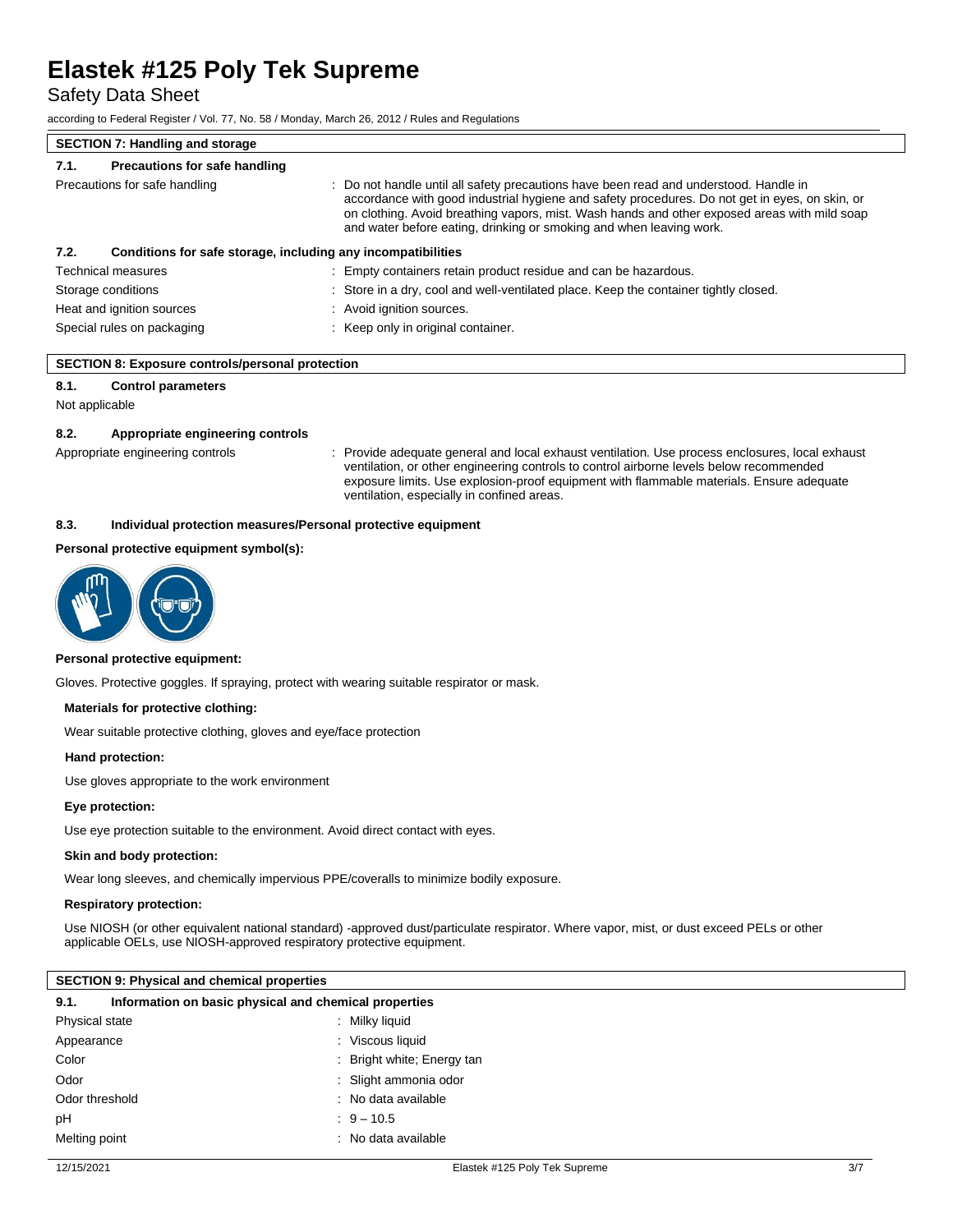Safety Data Sheet

according to Federal Register / Vol. 77, No. 58 / Monday, March 26, 2012 / Rules and Regulations

| <b>SECTION 7: Handling and storage</b>                               |                                                                                                                                                                                                                                                                                                                                                                |  |
|----------------------------------------------------------------------|----------------------------------------------------------------------------------------------------------------------------------------------------------------------------------------------------------------------------------------------------------------------------------------------------------------------------------------------------------------|--|
| Precautions for safe handling<br>7.1.                                |                                                                                                                                                                                                                                                                                                                                                                |  |
| Precautions for safe handling                                        | : Do not handle until all safety precautions have been read and understood. Handle in<br>accordance with good industrial hygiene and safety procedures. Do not get in eyes, on skin, or<br>on clothing. Avoid breathing vapors, mist. Wash hands and other exposed areas with mild soap<br>and water before eating, drinking or smoking and when leaving work. |  |
| Conditions for safe storage, including any incompatibilities<br>7.2. |                                                                                                                                                                                                                                                                                                                                                                |  |
| <b>Technical measures</b>                                            | : Empty containers retain product residue and can be hazardous.                                                                                                                                                                                                                                                                                                |  |
| Storage conditions                                                   | : Store in a dry, cool and well-ventilated place. Keep the container tightly closed.                                                                                                                                                                                                                                                                           |  |
| Heat and ignition sources                                            | : Avoid ignition sources.                                                                                                                                                                                                                                                                                                                                      |  |
| Special rules on packaging                                           | : Keep only in original container.                                                                                                                                                                                                                                                                                                                             |  |

## **8.1. Control parameters**

Not applicable

#### **8.2. Appropriate engineering controls**

Appropriate engineering controls : Provide adequate general and local exhaust ventilation. Use process enclosures, local exhaust ventilation, or other engineering controls to control airborne levels below recommended exposure limits. Use explosion-proof equipment with flammable materials. Ensure adequate ventilation, especially in confined areas.

#### **8.3. Individual protection measures/Personal protective equipment**

## **Personal protective equipment symbol(s):**



#### **Personal protective equipment:**

Gloves. Protective goggles. If spraying, protect with wearing suitable respirator or mask.

#### **Materials for protective clothing:**

Wear suitable protective clothing, gloves and eye/face protection

#### **Hand protection:**

Use gloves appropriate to the work environment

#### **Eye protection:**

Use eye protection suitable to the environment. Avoid direct contact with eyes.

#### **Skin and body protection:**

Wear long sleeves, and chemically impervious PPE/coveralls to minimize bodily exposure.

#### **Respiratory protection:**

Use NIOSH (or other equivalent national standard) -approved dust/particulate respirator. Where vapor, mist, or dust exceed PELs or other applicable OELs, use NIOSH-approved respiratory protective equipment.

### **SECTION 9: Physical and chemical properties**

| Information on basic physical and chemical properties<br>9.1. |                            |
|---------------------------------------------------------------|----------------------------|
| Physical state                                                | : Milky liquid             |
| Appearance                                                    | : Viscous liquid           |
| Color                                                         | : Bright white; Energy tan |
| Odor                                                          | : Slight ammonia odor      |
| Odor threshold                                                | : No data available        |
| рH                                                            | $9 - 10.5$                 |
| Melting point                                                 | $:$ No data available      |
|                                                               |                            |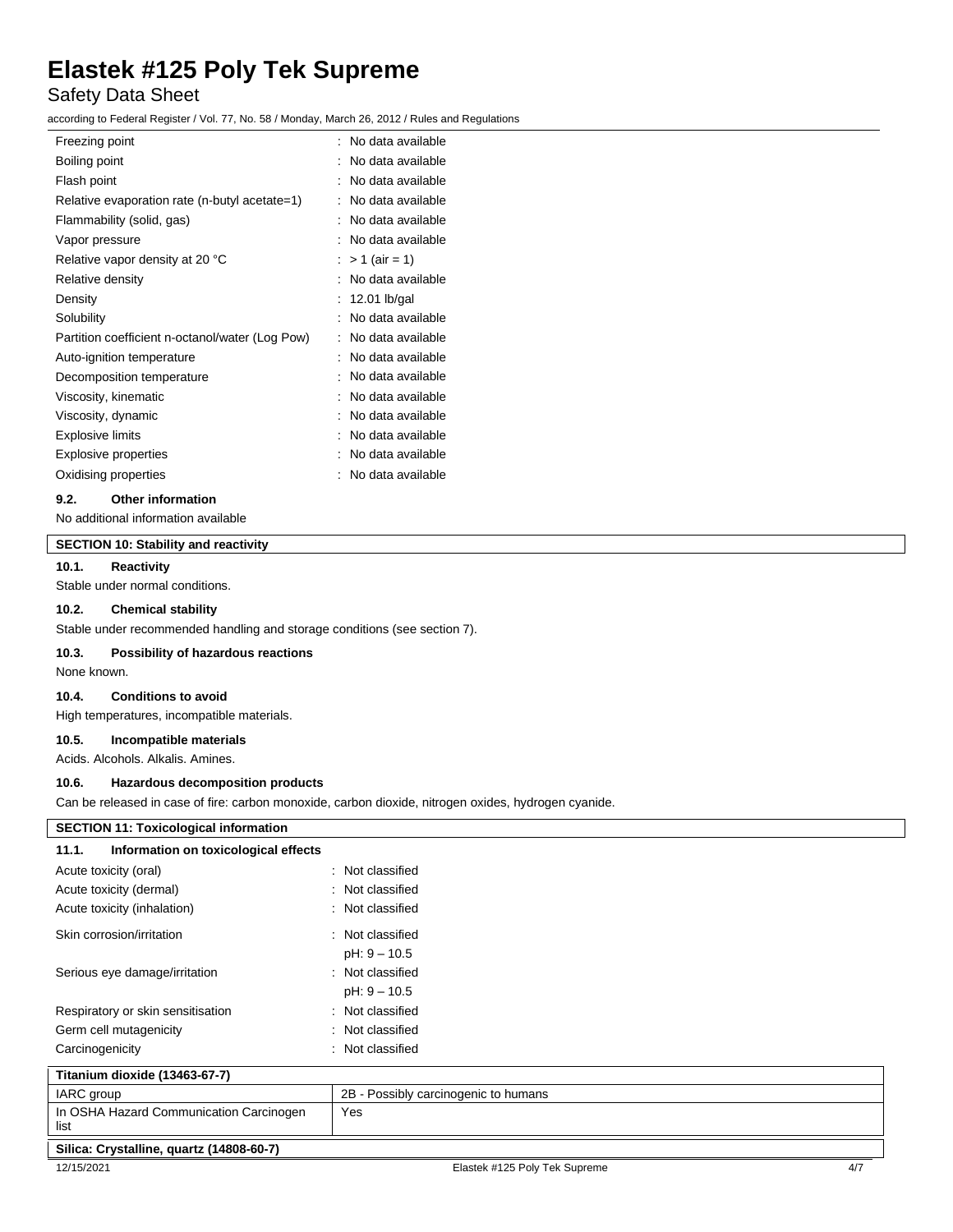# Safety Data Sheet

according to Federal Register / Vol. 77, No. 58 / Monday, March 26, 2012 / Rules and Regulations

| Freezing point                                  | No data available    |
|-------------------------------------------------|----------------------|
| Boiling point                                   | No data available    |
| Flash point                                     | No data available    |
| Relative evaporation rate (n-butyl acetate=1)   | No data available    |
| Flammability (solid, gas)                       | No data available    |
| Vapor pressure                                  | No data available    |
| Relative vapor density at 20 °C                 | $> 1$ (air = 1)<br>÷ |
| Relative density                                | No data available    |
| Density                                         | 12.01 lb/gal         |
| Solubility                                      | No data available    |
| Partition coefficient n-octanol/water (Log Pow) | No data available    |
| Auto-ignition temperature                       | No data available    |
| Decomposition temperature                       | No data available    |
| Viscosity, kinematic                            | No data available    |
| Viscosity, dynamic                              | No data available    |
| Explosive limits                                | No data available    |
| <b>Explosive properties</b>                     | No data available    |
| Oxidising properties                            | No data available    |
|                                                 |                      |

#### **9.2. Other information**

No additional information available

# **SECTION 10: Stability and reactivity**

### **10.1. Reactivity**

Stable under normal conditions.

# **10.2. Chemical stability**

Stable under recommended handling and storage conditions (see section 7).

#### **10.3. Possibility of hazardous reactions**

None known.

### **10.4. Conditions to avoid**

High temperatures, incompatible materials.

#### **10.5. Incompatible materials**

Acids. Alcohols. Alkalis. Amines.

#### **10.6. Hazardous decomposition products**

Can be released in case of fire: carbon monoxide, carbon dioxide, nitrogen oxides, hydrogen cyanide.

| <b>SECTION 11: Toxicological information</b>    |                                      |     |
|-------------------------------------------------|--------------------------------------|-----|
| Information on toxicological effects<br>11.1.   |                                      |     |
| Acute toxicity (oral)                           | : Not classified                     |     |
| Acute toxicity (dermal)                         | : Not classified                     |     |
| Acute toxicity (inhalation)                     | : Not classified                     |     |
| Skin corrosion/irritation                       | : Not classified                     |     |
|                                                 | $pH: 9 - 10.5$                       |     |
| Serious eye damage/irritation                   | : Not classified                     |     |
|                                                 | $pH: 9 - 10.5$                       |     |
| Respiratory or skin sensitisation               | : Not classified                     |     |
| Germ cell mutagenicity                          | : Not classified                     |     |
| Carcinogenicity                                 | : Not classified                     |     |
| Titanium dioxide (13463-67-7)                   |                                      |     |
| IARC group                                      | 2B - Possibly carcinogenic to humans |     |
| In OSHA Hazard Communication Carcinogen<br>list | Yes                                  |     |
| Silica: Crystalline, quartz (14808-60-7)        |                                      |     |
| 12/15/2021                                      | Elastek #125 Poly Tek Supreme        | 4/7 |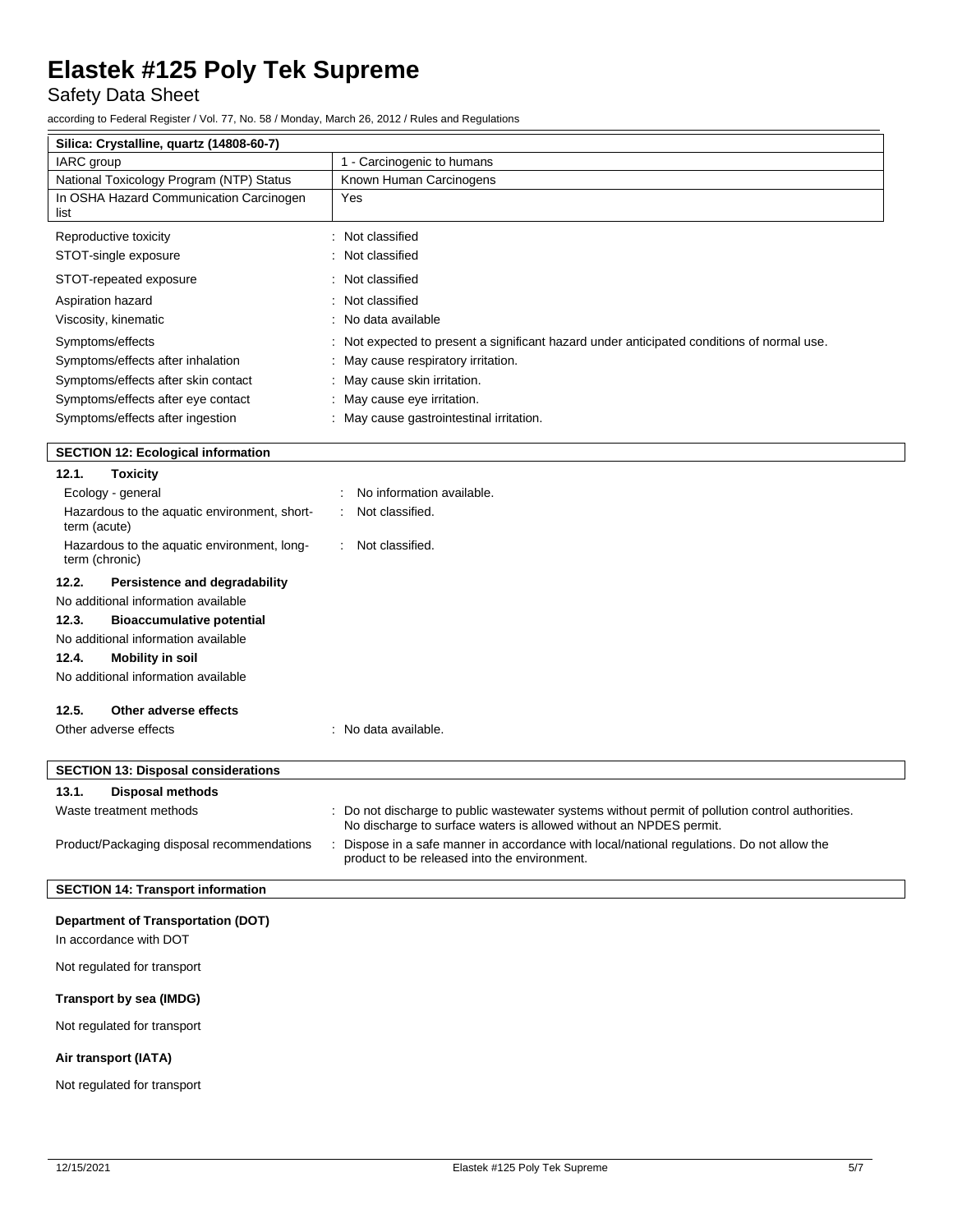Safety Data Sheet

according to Federal Register / Vol. 77, No. 58 / Monday, March 26, 2012 / Rules and Regulations

| Silica: Crystalline, quartz (14808-60-7)                      |                                                                                                                                                                      |
|---------------------------------------------------------------|----------------------------------------------------------------------------------------------------------------------------------------------------------------------|
| IARC group                                                    | 1 - Carcinogenic to humans                                                                                                                                           |
| National Toxicology Program (NTP) Status                      | Known Human Carcinogens                                                                                                                                              |
| In OSHA Hazard Communication Carcinogen<br>list               | Yes                                                                                                                                                                  |
| Reproductive toxicity                                         | : Not classified                                                                                                                                                     |
| STOT-single exposure                                          | : Not classified                                                                                                                                                     |
|                                                               |                                                                                                                                                                      |
| STOT-repeated exposure                                        | : Not classified                                                                                                                                                     |
| Aspiration hazard                                             | : Not classified                                                                                                                                                     |
| Viscosity, kinematic                                          | : No data available                                                                                                                                                  |
| Symptoms/effects                                              | Not expected to present a significant hazard under anticipated conditions of normal use.                                                                             |
| Symptoms/effects after inhalation                             | May cause respiratory irritation.                                                                                                                                    |
| Symptoms/effects after skin contact                           | : May cause skin irritation.                                                                                                                                         |
| Symptoms/effects after eye contact                            | : May cause eye irritation.                                                                                                                                          |
| Symptoms/effects after ingestion                              | : May cause gastrointestinal irritation.                                                                                                                             |
| <b>SECTION 12: Ecological information</b>                     |                                                                                                                                                                      |
| 12.1.<br><b>Toxicity</b>                                      |                                                                                                                                                                      |
| Ecology - general                                             | No information available.                                                                                                                                            |
| Hazardous to the aquatic environment, short-<br>term (acute)  | Not classified.                                                                                                                                                      |
| Hazardous to the aquatic environment, long-<br>term (chronic) | Not classified.                                                                                                                                                      |
| 12.2.<br>Persistence and degradability                        |                                                                                                                                                                      |
| No additional information available                           |                                                                                                                                                                      |
| 12.3.<br><b>Bioaccumulative potential</b>                     |                                                                                                                                                                      |
| No additional information available                           |                                                                                                                                                                      |
| 12.4.<br><b>Mobility in soil</b>                              |                                                                                                                                                                      |
| No additional information available                           |                                                                                                                                                                      |
| 12.5.<br>Other adverse effects                                |                                                                                                                                                                      |
| Other adverse effects                                         | : No data available.                                                                                                                                                 |
|                                                               |                                                                                                                                                                      |
| <b>SECTION 13: Disposal considerations</b>                    |                                                                                                                                                                      |
| 13.1.<br><b>Disposal methods</b>                              |                                                                                                                                                                      |
| Waste treatment methods                                       | Do not discharge to public wastewater systems without permit of pollution control authorities.<br>No discharge to surface waters is allowed without an NPDES permit. |
| Product/Packaging disposal recommendations                    | : Dispose in a safe manner in accordance with local/national regulations. Do not allow the                                                                           |
|                                                               | product to be released into the environment.                                                                                                                         |
| <b>SECTION 14: Transport information</b>                      |                                                                                                                                                                      |
|                                                               |                                                                                                                                                                      |
| <b>Department of Transportation (DOT)</b>                     |                                                                                                                                                                      |
| In accordance with DOT                                        |                                                                                                                                                                      |
| Not regulated for transport                                   |                                                                                                                                                                      |
| Transport by sea (IMDG)                                       |                                                                                                                                                                      |
| Not regulated for transport                                   |                                                                                                                                                                      |

# **Air transport (IATA)**

Not regulated for transport

 $\overline{\phantom{a}}$ 

 $\overline{\phantom{a}}$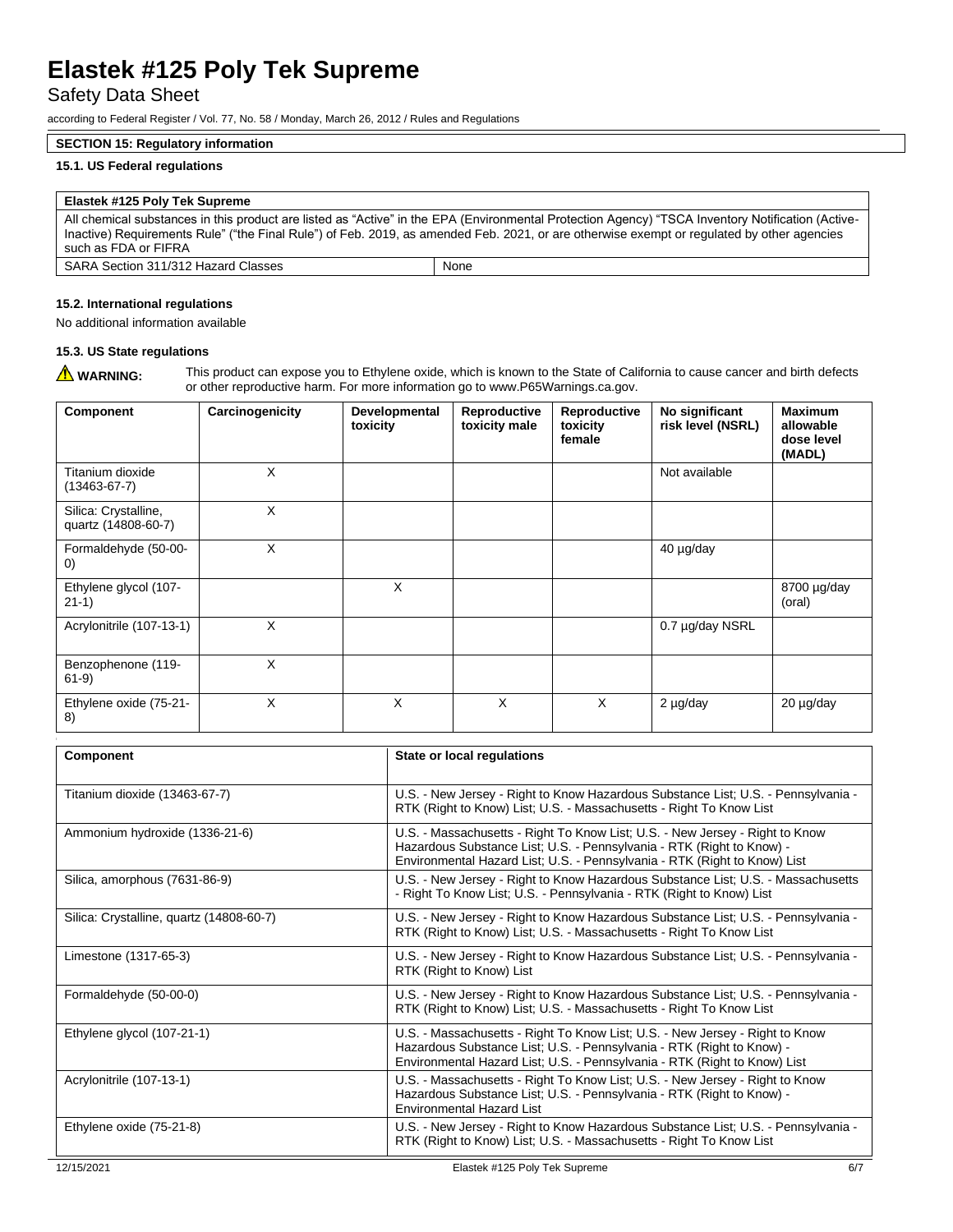Safety Data Sheet

according to Federal Register / Vol. 77, No. 58 / Monday, March 26, 2012 / Rules and Regulations

### **SECTION 15: Regulatory information**

## **15.1. US Federal regulations**

| Elastek #125 Poly Tek Supreme                                                                                                                                                                                                                                                                                           |      |  |
|-------------------------------------------------------------------------------------------------------------------------------------------------------------------------------------------------------------------------------------------------------------------------------------------------------------------------|------|--|
| All chemical substances in this product are listed as "Active" in the EPA (Environmental Protection Agency) "TSCA Inventory Notification (Active-<br>Inactive) Requirements Rule" ("the Final Rule") of Feb. 2019, as amended Feb. 2021, or are otherwise exempt or regulated by other agencies<br>such as FDA or FIFRA |      |  |
| SARA Section 311/312 Hazard Classes                                                                                                                                                                                                                                                                                     | None |  |

#### **15.2. International regulations**

No additional information available

## **15.3. US State regulations**

WARNING: This product can expose you to Ethylene oxide, which is known to the State of California to cause cancer and birth defects or other reproductive harm. For more information go to www.P65Warnings.ca.gov.

| <b>Component</b>                            | Carcinogenicity | Developmental<br>toxicity | Reproductive<br>toxicity male | Reproductive<br>toxicity<br>female | No significant<br>risk level (NSRL) | <b>Maximum</b><br>allowable<br>dose level<br>(MADL) |
|---------------------------------------------|-----------------|---------------------------|-------------------------------|------------------------------------|-------------------------------------|-----------------------------------------------------|
| Titanium dioxide<br>$(13463 - 67 - 7)$      | X               |                           |                               |                                    | Not available                       |                                                     |
| Silica: Crystalline,<br>quartz (14808-60-7) | X               |                           |                               |                                    |                                     |                                                     |
| Formaldehyde (50-00-<br>$\left( 0\right)$   | X               |                           |                               |                                    | 40 µg/day                           |                                                     |
| Ethylene glycol (107-<br>$21-1)$            |                 | X                         |                               |                                    |                                     | 8700 µg/day<br>(oral)                               |
| Acrylonitrile (107-13-1)                    | X               |                           |                               |                                    | 0.7 µg/day NSRL                     |                                                     |
| Benzophenone (119-<br>$61-9)$               | X               |                           |                               |                                    |                                     |                                                     |
| Ethylene oxide (75-21-<br>8)                | X               | X                         | X                             | X                                  | 2 µg/day                            | 20 µg/day                                           |

| <b>Component</b>                         | State or local regulations                                                                                                                                                                                                         |     |
|------------------------------------------|------------------------------------------------------------------------------------------------------------------------------------------------------------------------------------------------------------------------------------|-----|
| Titanium dioxide (13463-67-7)            | U.S. - New Jersey - Right to Know Hazardous Substance List; U.S. - Pennsylvania -<br>RTK (Right to Know) List; U.S. - Massachusetts - Right To Know List                                                                           |     |
| Ammonium hydroxide (1336-21-6)           | U.S. - Massachusetts - Right To Know List; U.S. - New Jersey - Right to Know<br>Hazardous Substance List; U.S. - Pennsylvania - RTK (Right to Know) -<br>Environmental Hazard List; U.S. - Pennsylvania - RTK (Right to Know) List |     |
| Silica, amorphous (7631-86-9)            | U.S. - New Jersey - Right to Know Hazardous Substance List; U.S. - Massachusetts<br>- Right To Know List; U.S. - Pennsylvania - RTK (Right to Know) List                                                                           |     |
| Silica: Crystalline, quartz (14808-60-7) | U.S. - New Jersey - Right to Know Hazardous Substance List; U.S. - Pennsylvania -<br>RTK (Right to Know) List; U.S. - Massachusetts - Right To Know List                                                                           |     |
| Limestone (1317-65-3)                    | U.S. - New Jersey - Right to Know Hazardous Substance List; U.S. - Pennsylvania -<br>RTK (Right to Know) List                                                                                                                      |     |
| Formaldehyde (50-00-0)                   | U.S. - New Jersey - Right to Know Hazardous Substance List; U.S. - Pennsylvania -<br>RTK (Right to Know) List; U.S. - Massachusetts - Right To Know List                                                                           |     |
| Ethylene glycol (107-21-1)               | U.S. - Massachusetts - Right To Know List; U.S. - New Jersey - Right to Know<br>Hazardous Substance List; U.S. - Pennsylvania - RTK (Right to Know) -<br>Environmental Hazard List; U.S. - Pennsylvania - RTK (Right to Know) List |     |
| Acrylonitrile (107-13-1)                 | U.S. - Massachusetts - Right To Know List; U.S. - New Jersey - Right to Know<br>Hazardous Substance List; U.S. - Pennsylvania - RTK (Right to Know) -<br><b>Environmental Hazard List</b>                                          |     |
| Ethylene oxide (75-21-8)                 | U.S. - New Jersey - Right to Know Hazardous Substance List; U.S. - Pennsylvania -<br>RTK (Right to Know) List; U.S. - Massachusetts - Right To Know List                                                                           |     |
| 12/15/2021                               | Elastek #125 Poly Tek Supreme                                                                                                                                                                                                      | 6/7 |